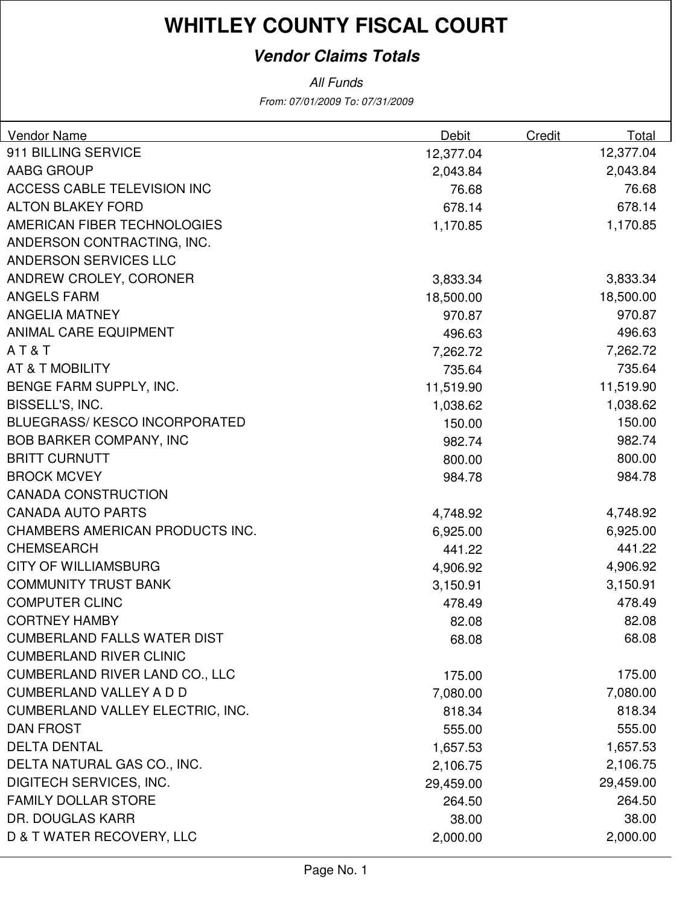#### **Vendor Claims Totals**

| Vendor Name                           | Debit     | Credit | Total     |
|---------------------------------------|-----------|--------|-----------|
| 911 BILLING SERVICE                   | 12,377.04 |        | 12,377.04 |
| AABG GROUP                            | 2,043.84  |        | 2,043.84  |
| ACCESS CABLE TELEVISION INC           | 76.68     |        | 76.68     |
| <b>ALTON BLAKEY FORD</b>              | 678.14    |        | 678.14    |
| AMERICAN FIBER TECHNOLOGIES           | 1,170.85  |        | 1,170.85  |
| ANDERSON CONTRACTING, INC.            |           |        |           |
| ANDERSON SERVICES LLC                 |           |        |           |
| ANDREW CROLEY, CORONER                | 3,833.34  |        | 3,833.34  |
| <b>ANGELS FARM</b>                    | 18,500.00 |        | 18,500.00 |
| <b>ANGELIA MATNEY</b>                 | 970.87    |        | 970.87    |
| <b>ANIMAL CARE EQUIPMENT</b>          | 496.63    |        | 496.63    |
| AT&T                                  | 7,262.72  |        | 7,262.72  |
| AT & T MOBILITY                       | 735.64    |        | 735.64    |
| BENGE FARM SUPPLY, INC.               | 11,519.90 |        | 11,519.90 |
| BISSELL'S, INC.                       | 1,038.62  |        | 1,038.62  |
| <b>BLUEGRASS/KESCO INCORPORATED</b>   | 150.00    |        | 150.00    |
| <b>BOB BARKER COMPANY, INC</b>        | 982.74    |        | 982.74    |
| <b>BRITT CURNUTT</b>                  | 800.00    |        | 800.00    |
| <b>BROCK MCVEY</b>                    | 984.78    |        | 984.78    |
| <b>CANADA CONSTRUCTION</b>            |           |        |           |
| <b>CANADA AUTO PARTS</b>              | 4,748.92  |        | 4,748.92  |
| CHAMBERS AMERICAN PRODUCTS INC.       | 6,925.00  |        | 6,925.00  |
| <b>CHEMSEARCH</b>                     | 441.22    |        | 441.22    |
| <b>CITY OF WILLIAMSBURG</b>           | 4,906.92  |        | 4,906.92  |
| <b>COMMUNITY TRUST BANK</b>           | 3,150.91  |        | 3,150.91  |
| <b>COMPUTER CLINC</b>                 | 478.49    |        | 478.49    |
| <b>CORTNEY HAMBY</b>                  | 82.08     |        | 82.08     |
| <b>CUMBERLAND FALLS WATER DIST</b>    | 68.08     |        | 68.08     |
| <b>CUMBERLAND RIVER CLINIC</b>        |           |        |           |
| <b>CUMBERLAND RIVER LAND CO., LLC</b> | 175.00    |        | 175.00    |
| <b>CUMBERLAND VALLEY A D D</b>        | 7,080.00  |        | 7,080.00  |
| CUMBERLAND VALLEY ELECTRIC, INC.      | 818.34    |        | 818.34    |
| <b>DAN FROST</b>                      | 555.00    |        | 555.00    |
| <b>DELTA DENTAL</b>                   | 1,657.53  |        | 1,657.53  |
| DELTA NATURAL GAS CO., INC.           | 2,106.75  |        | 2,106.75  |
| <b>DIGITECH SERVICES, INC.</b>        | 29,459.00 |        | 29,459.00 |
| <b>FAMILY DOLLAR STORE</b>            | 264.50    |        | 264.50    |
| DR. DOUGLAS KARR                      | 38.00     |        | 38.00     |
| D & T WATER RECOVERY, LLC             | 2,000.00  |        | 2,000.00  |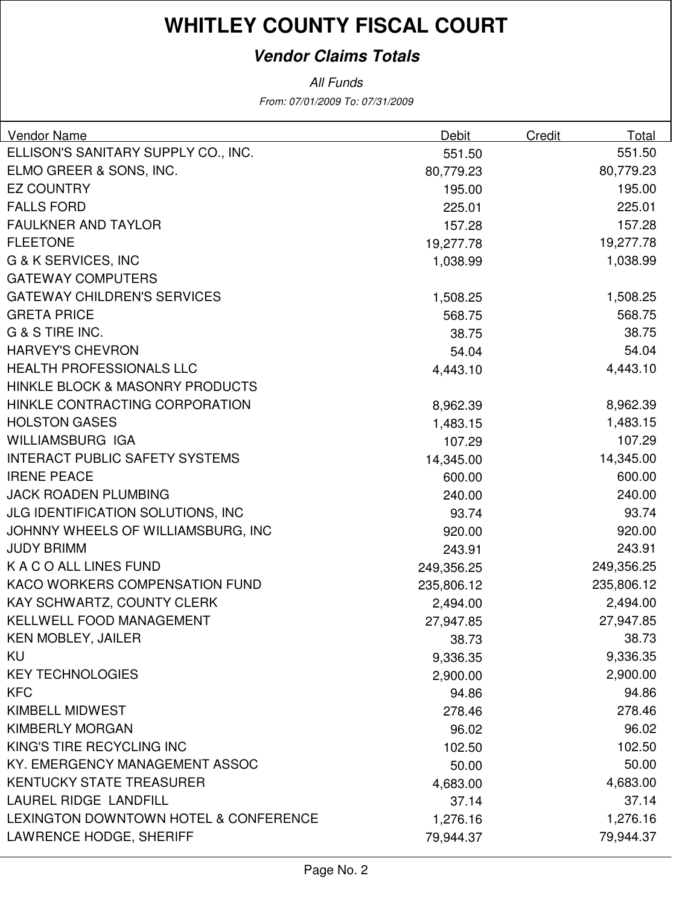#### **Vendor Claims Totals**

| Vendor Name                              | <b>Debit</b> | Credit | Total      |
|------------------------------------------|--------------|--------|------------|
| ELLISON'S SANITARY SUPPLY CO., INC.      | 551.50       |        | 551.50     |
| ELMO GREER & SONS, INC.                  | 80,779.23    |        | 80,779.23  |
| <b>EZ COUNTRY</b>                        | 195.00       |        | 195.00     |
| <b>FALLS FORD</b>                        | 225.01       |        | 225.01     |
| <b>FAULKNER AND TAYLOR</b>               | 157.28       |        | 157.28     |
| <b>FLEETONE</b>                          | 19,277.78    |        | 19,277.78  |
| <b>G &amp; K SERVICES, INC</b>           | 1,038.99     |        | 1,038.99   |
| <b>GATEWAY COMPUTERS</b>                 |              |        |            |
| <b>GATEWAY CHILDREN'S SERVICES</b>       | 1,508.25     |        | 1,508.25   |
| <b>GRETA PRICE</b>                       | 568.75       |        | 568.75     |
| G & S TIRE INC.                          | 38.75        |        | 38.75      |
| <b>HARVEY'S CHEVRON</b>                  | 54.04        |        | 54.04      |
| <b>HEALTH PROFESSIONALS LLC</b>          | 4,443.10     |        | 4,443.10   |
| HINKLE BLOCK & MASONRY PRODUCTS          |              |        |            |
| HINKLE CONTRACTING CORPORATION           | 8,962.39     |        | 8,962.39   |
| <b>HOLSTON GASES</b>                     | 1,483.15     |        | 1,483.15   |
| <b>WILLIAMSBURG IGA</b>                  | 107.29       |        | 107.29     |
| <b>INTERACT PUBLIC SAFETY SYSTEMS</b>    | 14,345.00    |        | 14,345.00  |
| <b>IRENE PEACE</b>                       | 600.00       |        | 600.00     |
| <b>JACK ROADEN PLUMBING</b>              | 240.00       |        | 240.00     |
| <b>JLG IDENTIFICATION SOLUTIONS, INC</b> | 93.74        |        | 93.74      |
| JOHNNY WHEELS OF WILLIAMSBURG, INC       | 920.00       |        | 920.00     |
| <b>JUDY BRIMM</b>                        | 243.91       |        | 243.91     |
| K A C O ALL LINES FUND                   | 249,356.25   |        | 249,356.25 |
| KACO WORKERS COMPENSATION FUND           | 235,806.12   |        | 235,806.12 |
| KAY SCHWARTZ, COUNTY CLERK               | 2,494.00     |        | 2,494.00   |
| KELLWELL FOOD MANAGEMENT                 | 27,947.85    |        | 27,947.85  |
| <b>KEN MOBLEY, JAILER</b>                | 38.73        |        | 38.73      |
| KU                                       | 9,336.35     |        | 9,336.35   |
| <b>KEY TECHNOLOGIES</b>                  | 2,900.00     |        | 2,900.00   |
| <b>KFC</b>                               | 94.86        |        | 94.86      |
| <b>KIMBELL MIDWEST</b>                   | 278.46       |        | 278.46     |
| <b>KIMBERLY MORGAN</b>                   | 96.02        |        | 96.02      |
| KING'S TIRE RECYCLING INC                | 102.50       |        | 102.50     |
| KY. EMERGENCY MANAGEMENT ASSOC           | 50.00        |        | 50.00      |
| <b>KENTUCKY STATE TREASURER</b>          | 4,683.00     |        | 4,683.00   |
| LAUREL RIDGE LANDFILL                    | 37.14        |        | 37.14      |
| LEXINGTON DOWNTOWN HOTEL & CONFERENCE    | 1,276.16     |        | 1,276.16   |
| LAWRENCE HODGE, SHERIFF                  | 79,944.37    |        | 79,944.37  |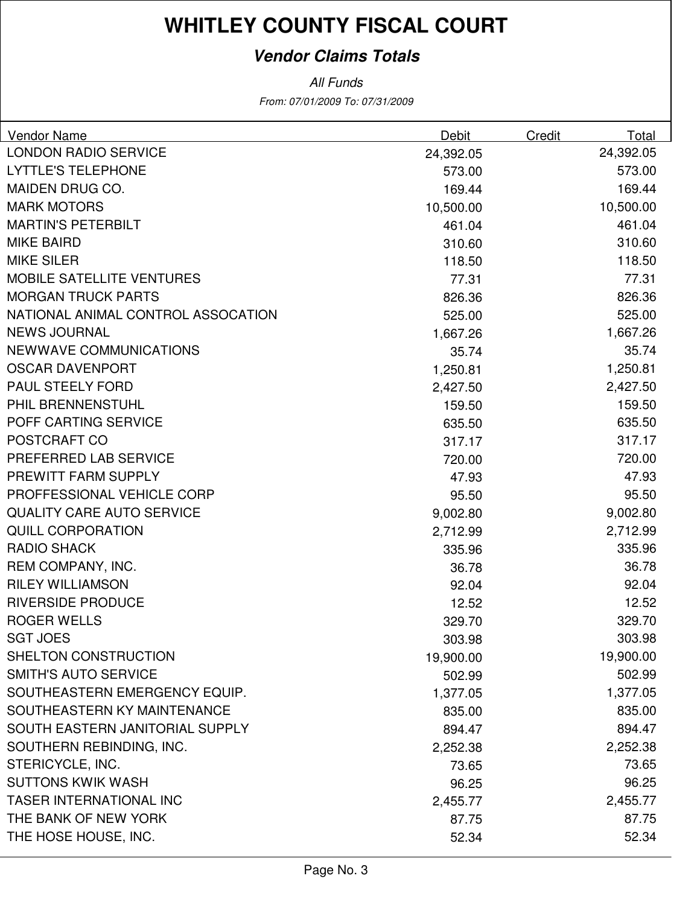#### **Vendor Claims Totals**

| Vendor Name                        | Debit     | Credit | Total     |
|------------------------------------|-----------|--------|-----------|
| <b>LONDON RADIO SERVICE</b>        | 24,392.05 |        | 24,392.05 |
| <b>LYTTLE'S TELEPHONE</b>          | 573.00    |        | 573.00    |
| MAIDEN DRUG CO.                    | 169.44    |        | 169.44    |
| <b>MARK MOTORS</b>                 | 10,500.00 |        | 10,500.00 |
| <b>MARTIN'S PETERBILT</b>          | 461.04    |        | 461.04    |
| <b>MIKE BAIRD</b>                  | 310.60    |        | 310.60    |
| <b>MIKE SILER</b>                  | 118.50    |        | 118.50    |
| <b>MOBILE SATELLITE VENTURES</b>   | 77.31     |        | 77.31     |
| <b>MORGAN TRUCK PARTS</b>          | 826.36    |        | 826.36    |
| NATIONAL ANIMAL CONTROL ASSOCATION | 525.00    |        | 525.00    |
| <b>NEWS JOURNAL</b>                | 1,667.26  |        | 1,667.26  |
| <b>NEWWAVE COMMUNICATIONS</b>      | 35.74     |        | 35.74     |
| <b>OSCAR DAVENPORT</b>             | 1,250.81  |        | 1,250.81  |
| <b>PAUL STEELY FORD</b>            | 2,427.50  |        | 2,427.50  |
| PHIL BRENNENSTUHL                  | 159.50    |        | 159.50    |
| POFF CARTING SERVICE               | 635.50    |        | 635.50    |
| POSTCRAFT CO                       | 317.17    |        | 317.17    |
| PREFERRED LAB SERVICE              | 720.00    |        | 720.00    |
| PREWITT FARM SUPPLY                | 47.93     |        | 47.93     |
| PROFFESSIONAL VEHICLE CORP         | 95.50     |        | 95.50     |
| <b>QUALITY CARE AUTO SERVICE</b>   | 9,002.80  |        | 9,002.80  |
| <b>QUILL CORPORATION</b>           | 2,712.99  |        | 2,712.99  |
| <b>RADIO SHACK</b>                 | 335.96    |        | 335.96    |
| REM COMPANY, INC.                  | 36.78     |        | 36.78     |
| <b>RILEY WILLIAMSON</b>            | 92.04     |        | 92.04     |
| <b>RIVERSIDE PRODUCE</b>           | 12.52     |        | 12.52     |
| <b>ROGER WELLS</b>                 | 329.70    |        | 329.70    |
| <b>SGT JOES</b>                    | 303.98    |        | 303.98    |
| SHELTON CONSTRUCTION               | 19,900.00 |        | 19,900.00 |
| <b>SMITH'S AUTO SERVICE</b>        | 502.99    |        | 502.99    |
| SOUTHEASTERN EMERGENCY EQUIP.      | 1,377.05  |        | 1,377.05  |
| SOUTHEASTERN KY MAINTENANCE        | 835.00    |        | 835.00    |
| SOUTH EASTERN JANITORIAL SUPPLY    | 894.47    |        | 894.47    |
| SOUTHERN REBINDING, INC.           | 2,252.38  |        | 2,252.38  |
| STERICYCLE, INC.                   | 73.65     |        | 73.65     |
| <b>SUTTONS KWIK WASH</b>           | 96.25     |        | 96.25     |
| <b>TASER INTERNATIONAL INC</b>     | 2,455.77  |        | 2,455.77  |
| THE BANK OF NEW YORK               | 87.75     |        | 87.75     |
| THE HOSE HOUSE, INC.               | 52.34     |        | 52.34     |